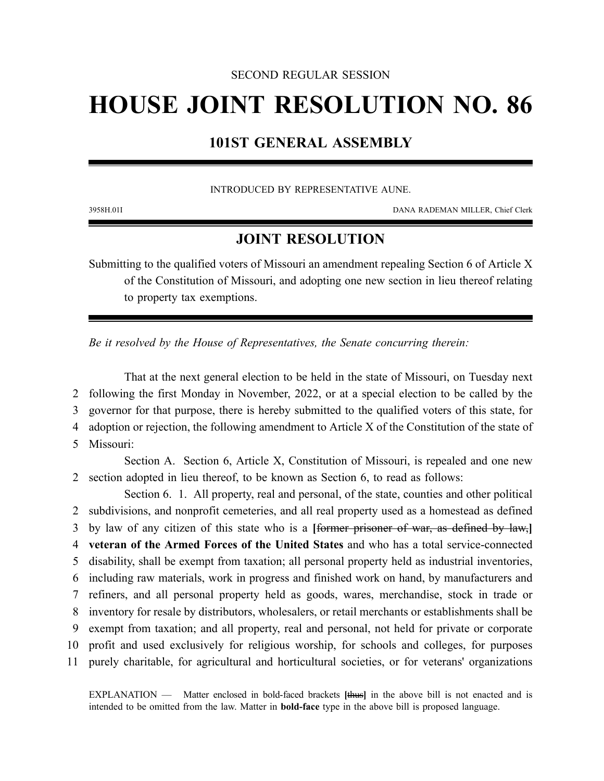#### SECOND REGULAR SESSION

# **HOUSE JOINT RESOLUTION NO. 86**

## **101ST GENERAL ASSEMBLY**

#### INTRODUCED BY REPRESENTATIVE AUNE.

3958H.01I DANA RADEMAN MILLER, Chief Clerk

### **JOINT RESOLUTION**

Submitting to the qualified voters of Missouri an amendment repealing Section 6 of Article X of the Constitution of Missouri, and adopting one new section in lieu thereof relating to property tax exemptions.

*Be it resolved by the House of Representatives, the Senate concurring therein:*

That at the next general election to be held in the state of Missouri, on Tuesday next following the first Monday in November, 2022, or at a special election to be called by the governor for that purpose, there is hereby submitted to the qualified voters of this state, for adoption or rejection, the following amendment to Article X of the Constitution of the state of Missouri:

Section A. Section 6, Article X, Constitution of Missouri, is repealed and one new 2 section adopted in lieu thereof, to be known as Section 6, to read as follows:

Section 6. 1. All property, real and personal, of the state, counties and other political subdivisions, and nonprofit cemeteries, and all real property used as a homestead as defined by law of any citizen of this state who is a **[**former prisoner of war, as defined by law,**] veteran of the Armed Forces of the United States** and who has a total service-connected disability, shall be exempt from taxation; all personal property held as industrial inventories, including raw materials, work in progress and finished work on hand, by manufacturers and refiners, and all personal property held as goods, wares, merchandise, stock in trade or inventory for resale by distributors, wholesalers, or retail merchants or establishments shall be exempt from taxation; and all property, real and personal, not held for private or corporate profit and used exclusively for religious worship, for schools and colleges, for purposes purely charitable, for agricultural and horticultural societies, or for veterans' organizations

EXPLANATION — Matter enclosed in bold-faced brackets **[**thus**]** in the above bill is not enacted and is intended to be omitted from the law. Matter in **bold-face** type in the above bill is proposed language.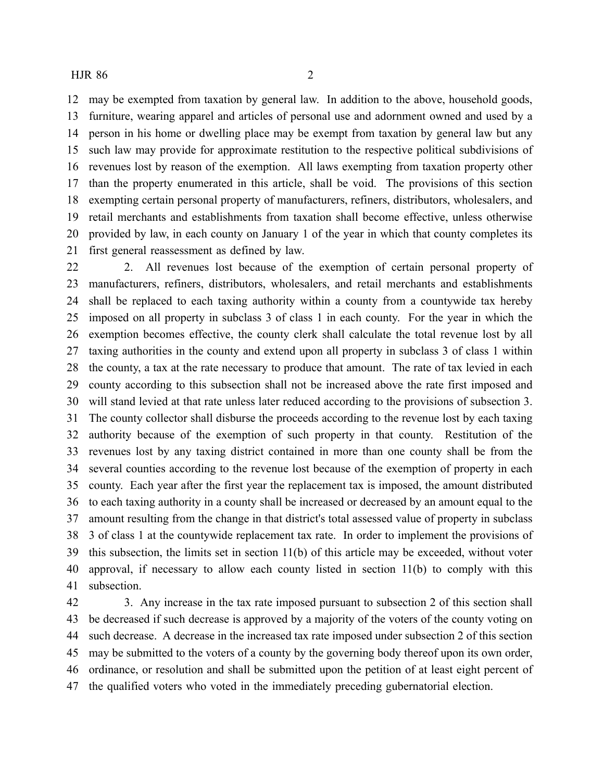#### HJR 86 2

 may be exempted from taxation by general law. In addition to the above, household goods, furniture, wearing apparel and articles of personal use and adornment owned and used by a person in his home or dwelling place may be exempt from taxation by general law but any such law may provide for approximate restitution to the respective political subdivisions of revenues lost by reason of the exemption. All laws exempting from taxation property other than the property enumerated in this article, shall be void. The provisions of this section exempting certain personal property of manufacturers, refiners, distributors, wholesalers, and retail merchants and establishments from taxation shall become effective, unless otherwise provided by law, in each county on January 1 of the year in which that county completes its first general reassessment as defined by law.

 2. All revenues lost because of the exemption of certain personal property of manufacturers, refiners, distributors, wholesalers, and retail merchants and establishments shall be replaced to each taxing authority within a county from a countywide tax hereby imposed on all property in subclass 3 of class 1 in each county. For the year in which the exemption becomes effective, the county clerk shall calculate the total revenue lost by all taxing authorities in the county and extend upon all property in subclass 3 of class 1 within the county, a tax at the rate necessary to produce that amount. The rate of tax levied in each county according to this subsection shall not be increased above the rate first imposed and will stand levied at that rate unless later reduced according to the provisions of subsection 3. The county collector shall disburse the proceeds according to the revenue lost by each taxing authority because of the exemption of such property in that county. Restitution of the revenues lost by any taxing district contained in more than one county shall be from the several counties according to the revenue lost because of the exemption of property in each county. Each year after the first year the replacement tax is imposed, the amount distributed to each taxing authority in a county shall be increased or decreased by an amount equal to the amount resulting from the change in that district's total assessed value of property in subclass 3 of class 1 at the countywide replacement tax rate. In order to implement the provisions of this subsection, the limits set in section 11(b) of this article may be exceeded, without voter approval, if necessary to allow each county listed in section 11(b) to comply with this subsection.

 3. Any increase in the tax rate imposed pursuant to subsection 2 of this section shall be decreased if such decrease is approved by a majority of the voters of the county voting on such decrease. A decrease in the increased tax rate imposed under subsection 2 of this section may be submitted to the voters of a county by the governing body thereof upon its own order, ordinance, or resolution and shall be submitted upon the petition of at least eight percent of the qualified voters who voted in the immediately preceding gubernatorial election.